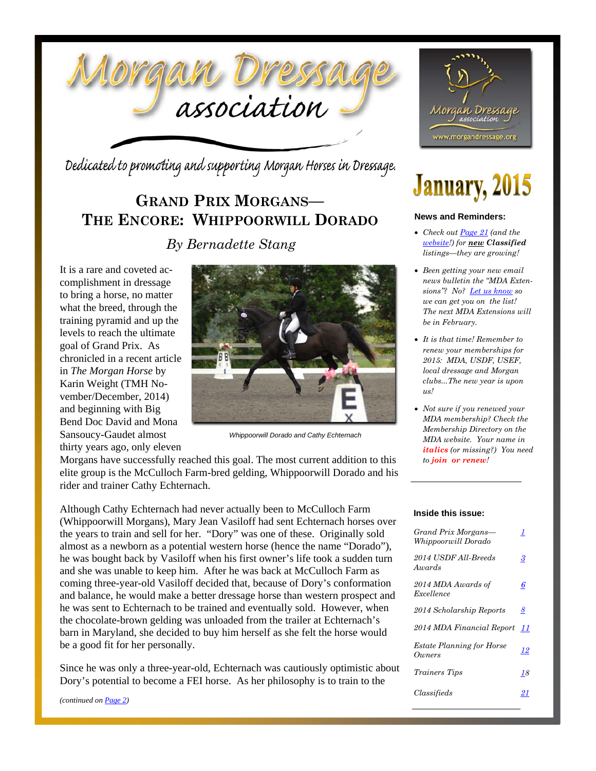

Dedicated to promoting and supporting Morgan Horses in Dressage.

### **GRAND PRIX MORGANS— THE ENCORE: WHIPPOORWILL DORADO**

*By Bernadette Stang*

It is a rare and coveted accomplishment in dressage to bring a horse, no matter what the breed, through the training pyramid and up the levels to reach the ultimate goal of Grand Prix. As chronicled in a recent article in *The Morgan Horse* by Karin Weight (TMH November/December, 2014) and beginning with Big Bend Doc David and Mona Sansoucy-Gaudet almost thirty years ago, only eleven



*Whippoorwill Dorado and Cathy Echternach* 

Morgans have successfully reached this goal. The most current addition to this elite group is the McCulloch Farm-bred gelding, Whippoorwill Dorado and his rider and trainer Cathy Echternach.

Although Cathy Echternach had never actually been to McCulloch Farm (Whippoorwill Morgans), Mary Jean Vasiloff had sent Echternach horses over the years to train and sell for her. "Dory" was one of these. Originally sold almost as a newborn as a potential western horse (hence the name "Dorado"), he was bought back by Vasiloff when his first owner's life took a sudden turn and she was unable to keep him. After he was back at McCulloch Farm as coming three-year-old Vasiloff decided that, because of Dory's conformation and balance, he would make a better dressage horse than western prospect and he was sent to Echternach to be trained and eventually sold. However, when the chocolate-brown gelding was unloaded from the trailer at Echternach's barn in Maryland, she decided to buy him herself as she felt the horse would be a good fit for her personally.

Since he was only a three-year-old, Echternach was cautiously optimistic about Dory's potential to become a FEI horse. As her philosophy is to train to the

*(continued on Page 2)*



# **January, 2015**

#### **News and Reminders:**

- *Check out Page 21 (and the website!) for new Classified listings—they are growing!*
- *Been getting your new email news bulletin the "MDA Extensions"? No? Let us know so we can get you on the list! The next MDA Extensions will be in February.*
- *It is that time! Remember to renew your memberships for 2015: MDA, USDF, USEF, local dressage and Morgan clubs...The new year is upon us!*
- *Not sure if you renewed your MDA membership? Check the Membership Directory on the MDA website. Your name in italics (or missing?) You need to join or renew!*

#### **Inside this issue:**

| Grand Prix Morgans—<br>Whippoorwill Dorado | 1  |
|--------------------------------------------|----|
| 2014 USDF All-Breeds<br>Awards             | 3  |
| 2014 MDA Awards of<br>Excellence           | 6  |
| 2014 Scholarship Reports                   | 8  |
| 2014 MDA Financial Report                  | 11 |
| <b>Estate Planning for Horse</b><br>Owners | 12 |
| <i>Trainers Tips</i>                       | 18 |
| Classifieds                                |    |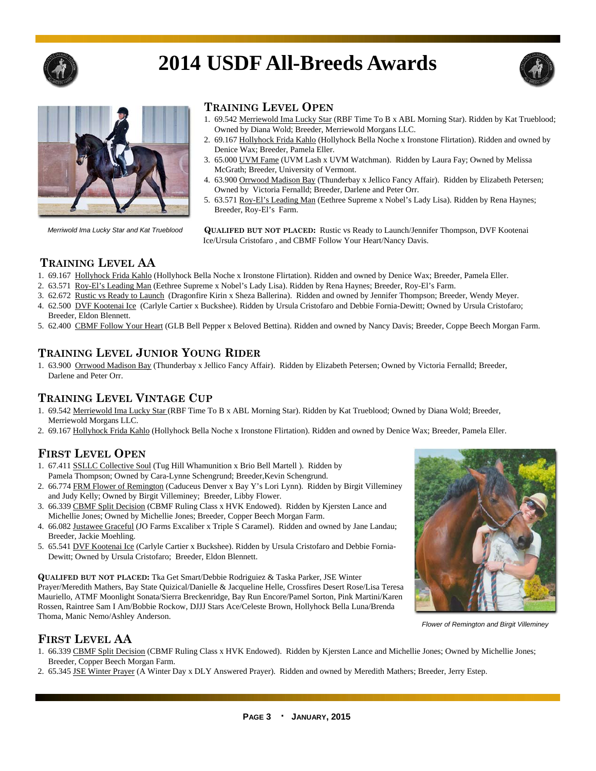

# **2014 USDF All-Breeds Awards**





*Merriwold Ima Lucky Star and Kat Trueblood* 

#### **TRAINING LEVEL OPEN**

- 1. 69.542 Merriewold Ima Lucky Star (RBF Time To B x ABL Morning Star). Ridden by Kat Trueblood; Owned by Diana Wold; Breeder, Merriewold Morgans LLC.
- 2. 69.167 Hollyhock Frida Kahlo (Hollyhock Bella Noche x Ironstone Flirtation). Ridden and owned by Denice Wax; Breeder, Pamela Eller.
- 3. 65.000 UVM Fame (UVM Lash x UVM Watchman). Ridden by Laura Fay; Owned by Melissa McGrath; Breeder, University of Vermont.
- 4. 63.900 Orrwood Madison Bay (Thunderbay x Jellico Fancy Affair). Ridden by Elizabeth Petersen; Owned by Victoria Fernalld; Breeder, Darlene and Peter Orr.
- 5. 63.571 Roy-El's Leading Man (Eethree Supreme x Nobel's Lady Lisa). Ridden by Rena Haynes; Breeder, Roy-El's Farm.

 **QUALIFED BUT NOT PLACED:** Rustic vs Ready to Launch/Jennifer Thompson, DVF Kootenai Ice/Ursula Cristofaro , and CBMF Follow Your Heart/Nancy Davis.

#### **TRAINING LEVEL AA**

- 1. 69.167 Hollyhock Frida Kahlo (Hollyhock Bella Noche x Ironstone Flirtation). Ridden and owned by Denice Wax; Breeder, Pamela Eller.
- 2. 63.571 Roy-El's Leading Man (Eethree Supreme x Nobel's Lady Lisa). Ridden by Rena Haynes; Breeder, Roy-El's Farm.
- 3. 62.672 Rustic vs Ready to Launch (Dragonfire Kirin x Sheza Ballerina). Ridden and owned by Jennifer Thompson; Breeder, Wendy Meyer.
- 4. 62.500 DVF Kootenai Ice (Carlyle Cartier x Buckshee). Ridden by Ursula Cristofaro and Debbie Fornia-Dewitt; Owned by Ursula Cristofaro; Breeder, Eldon Blennett.
- 5. 62.400 CBMF Follow Your Heart (GLB Bell Pepper x Beloved Bettina). Ridden and owned by Nancy Davis; Breeder, Coppe Beech Morgan Farm.

#### **TRAINING LEVEL JUNIOR YOUNG RIDER**

1. 63.900 Orrwood Madison Bay (Thunderbay x Jellico Fancy Affair). Ridden by Elizabeth Petersen; Owned by Victoria Fernalld; Breeder, Darlene and Peter Orr.

#### **TRAINING LEVEL VINTAGE CUP**

- 1. 69.542 Merriewold Ima Lucky Star (RBF Time To B x ABL Morning Star). Ridden by Kat Trueblood; Owned by Diana Wold; Breeder, Merriewold Morgans LLC.
- 2. 69.167 Hollyhock Frida Kahlo (Hollyhock Bella Noche x Ironstone Flirtation). Ridden and owned by Denice Wax; Breeder, Pamela Eller.

#### **FIRST LEVEL OPEN**

- 1. 67.411 SSLLC Collective Soul (Tug Hill Whamunition x Brio Bell Martell ). Ridden by Pamela Thompson; Owned by Cara-Lynne Schengrund; Breeder,Kevin Schengrund.
- 2. 66.774 FRM Flower of Remington (Caduceus Denver x Bay Y's Lori Lynn). Ridden by Birgit Villeminey and Judy Kelly; Owned by Birgit Villeminey; Breeder, Libby Flower.
- 3. 66.339 CBMF Split Decision (CBMF Ruling Class x HVK Endowed). Ridden by Kjersten Lance and Michellie Jones; Owned by Michellie Jones; Breeder, Copper Beech Morgan Farm.
- 4. 66.082 Justawee Graceful (JO Farms Excaliber x Triple S Caramel). Ridden and owned by Jane Landau; Breeder, Jackie Moehling.
- 5. 65.541 DVF Kootenai Ice (Carlyle Cartier x Buckshee). Ridden by Ursula Cristofaro and Debbie Fornia-Dewitt; Owned by Ursula Cristofaro; Breeder, Eldon Blennett.

**QUALIFED BUT NOT PLACED:** Tka Get Smart/Debbie Rodriguiez & Taska Parker, JSE Winter Prayer/Meredith Mathers, Bay State Quizical/Danielle & Jacqueline Helle, Crossfires Desert Rose/Lisa Teresa Mauriello, ATMF Moonlight Sonata/Sierra Breckenridge, Bay Run Encore/Pamel Sorton, Pink Martini/Karen Rossen, Raintree Sam I Am/Bobbie Rockow, DJJJ Stars Ace/Celeste Brown, Hollyhock Bella Luna/Brenda Thoma, Manic Nemo/Ashley Anderson.



*Flower of Remington and Birgit Villeminey* 

#### **FIRST LEVEL AA**

- 1. 66.339 CBMF Split Decision (CBMF Ruling Class x HVK Endowed). Ridden by Kjersten Lance and Michellie Jones; Owned by Michellie Jones; Breeder, Copper Beech Morgan Farm.
- 2. 65.345 JSE Winter Prayer (A Winter Day x DLY Answered Prayer). Ridden and owned by Meredith Mathers; Breeder, Jerry Estep.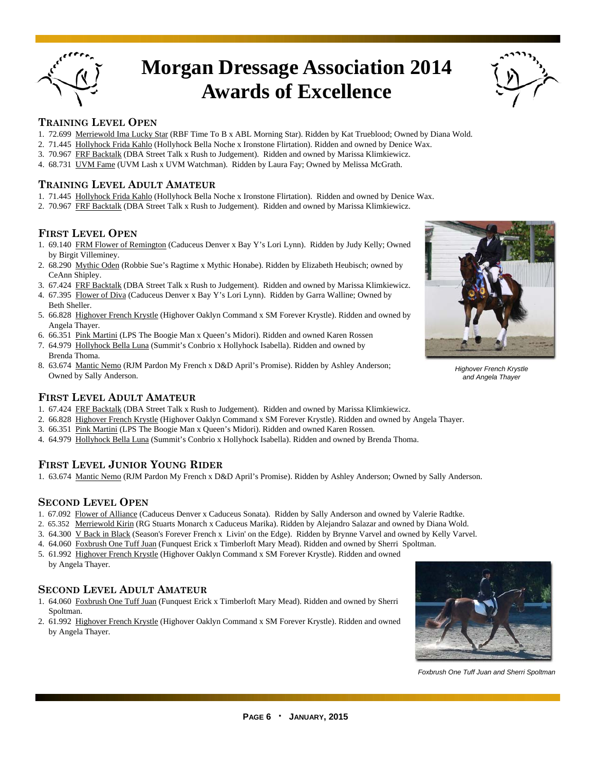

### **Morgan Dressage Association 2014 Awards of Excellence**



#### **TRAINING LEVEL OPEN**

- 1. 72.699 Merriewold Ima Lucky Star (RBF Time To B x ABL Morning Star). Ridden by Kat Trueblood; Owned by Diana Wold.
- 2. 71.445 Hollyhock Frida Kahlo (Hollyhock Bella Noche x Ironstone Flirtation). Ridden and owned by Denice Wax.
- 3. 70.967 FRF Backtalk (DBA Street Talk x Rush to Judgement). Ridden and owned by Marissa Klimkiewicz.
- 4. 68.731 UVM Fame (UVM Lash x UVM Watchman). Ridden by Laura Fay; Owned by Melissa McGrath.

#### **TRAINING LEVEL ADULT AMATEUR**

- 1. 71.445 Hollyhock Frida Kahlo (Hollyhock Bella Noche x Ironstone Flirtation). Ridden and owned by Denice Wax.
- 2. 70.967 FRF Backtalk (DBA Street Talk x Rush to Judgement). Ridden and owned by Marissa Klimkiewicz.

#### **FIRST LEVEL OPEN**

- 1. 69.140 FRM Flower of Remington (Caduceus Denver x Bay Y's Lori Lynn). Ridden by Judy Kelly; Owned by Birgit Villeminey.
- 2. 68.290 Mythic Oden (Robbie Sue's Ragtime x Mythic Honabe). Ridden by Elizabeth Heubisch; owned by CeAnn Shipley.
- 3. 67.424 FRF Backtalk (DBA Street Talk x Rush to Judgement). Ridden and owned by Marissa Klimkiewicz.
- 4. 67.395 Flower of Diva (Caduceus Denver x Bay Y's Lori Lynn). Ridden by Garra Walline; Owned by Beth Sheller.
- 5. 66.828 Highover French Krystle (Highover Oaklyn Command x SM Forever Krystle). Ridden and owned by Angela Thayer.
- 6. 66.351 Pink Martini (LPS The Boogie Man x Queen's Midori). Ridden and owned Karen Rossen
- 7. 64.979 Hollyhock Bella Luna (Summit's Conbrio x Hollyhock Isabella). Ridden and owned by Brenda Thoma.
- 8. 63.674 Mantic Nemo (RJM Pardon My French x D&D April's Promise). Ridden by Ashley Anderson; Owned by Sally Anderson.

#### **FIRST LEVEL ADULT AMATEUR**

- 1. 67.424 FRF Backtalk (DBA Street Talk x Rush to Judgement). Ridden and owned by Marissa Klimkiewicz.
- 2. 66.828 Highover French Krystle (Highover Oaklyn Command x SM Forever Krystle). Ridden and owned by Angela Thayer.
- 3. 66.351 Pink Martini (LPS The Boogie Man x Queen's Midori). Ridden and owned Karen Rossen.
- 4. 64.979 Hollyhock Bella Luna (Summit's Conbrio x Hollyhock Isabella). Ridden and owned by Brenda Thoma.

#### **FIRST LEVEL JUNIOR YOUNG RIDER**

1. 63.674 Mantic Nemo (RJM Pardon My French x D&D April's Promise). Ridden by Ashley Anderson; Owned by Sally Anderson.

#### **SECOND LEVEL OPEN**

- 1. 67.092 Flower of Alliance (Caduceus Denver x Caduceus Sonata). Ridden by Sally Anderson and owned by Valerie Radtke.
- 2. 65.352Merriewold Kirin (RG Stuarts Monarch x Caduceus Marika). Ridden by Alejandro Salazar and owned by Diana Wold.
- 3. 64.300 V Back in Black (Season's Forever French x Livin' on the Edge). Ridden by Brynne Varvel and owned by Kelly Varvel.
- 4. 64.060 Foxbrush One Tuff Juan (Funquest Erick x Timberloft Mary Mead). Ridden and owned by Sherri Spoltman.
- 5. 61.992 Highover French Krystle (Highover Oaklyn Command x SM Forever Krystle). Ridden and owned by Angela Thayer.

#### **SECOND LEVEL ADULT AMATEUR**

- 1. 64.060 Foxbrush One Tuff Juan (Funquest Erick x Timberloft Mary Mead). Ridden and owned by Sherri Spoltman.
- 2. 61.992 Highover French Krystle (Highover Oaklyn Command x SM Forever Krystle). Ridden and owned by Angela Thayer.



*Foxbrush One Tuff Juan and Sherri Spoltman* 



*Highover French Krystle and Angela Thayer*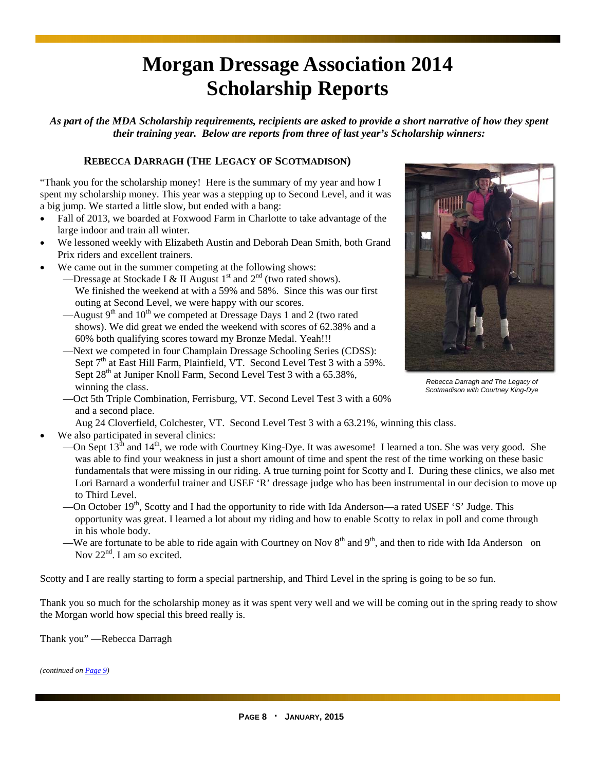## **Morgan Dressage Association 2014 Scholarship Reports**

*As part of the MDA Scholarship requirements, recipients are asked to provide a short narrative of how they spent their training year. Below are reports from three of last year's Scholarship winners:* 

#### **REBECCA DARRAGH (THE LEGACY OF SCOTMADISON)**

"Thank you for the scholarship money! Here is the summary of my year and how I spent my scholarship money. This year was a stepping up to Second Level, and it was a big jump. We started a little slow, but ended with a bang:

- Fall of 2013, we boarded at Foxwood Farm in Charlotte to take advantage of the large indoor and train all winter.
- We lessoned weekly with Elizabeth Austin and Deborah Dean Smith, both Grand Prix riders and excellent trainers.
- We came out in the summer competing at the following shows:
	- -Dressage at Stockade I & II August 1<sup>st</sup> and 2<sup>nd</sup> (two rated shows). We finished the weekend at with a 59% and 58%. Since this was our first outing at Second Level, we were happy with our scores.
	- —August 9<sup>th</sup> and 10<sup>th</sup> we competed at Dressage Days 1 and 2 (two rated shows). We did great we ended the weekend with scores of 62.38% and a 60% both qualifying scores toward my Bronze Medal. Yeah!!!
	- —Next we competed in four Champlain Dressage Schooling Series (CDSS): Sept 7<sup>th</sup> at East Hill Farm, Plainfield, VT. Second Level Test 3 with a 59%. Sept 28<sup>th</sup> at Juniper Knoll Farm, Second Level Test 3 with a 65.38%, winning the class.



*Scotmadison with Courtney King-Dye* 

- —Oct 5th Triple Combination, Ferrisburg, VT. Second Level Test 3 with a 60% and a second place.
	- Aug 24 Cloverfield, Colchester, VT. Second Level Test 3 with a 63.21%, winning this class.
- We also participated in several clinics:
	- —On Sept  $13^{\text{th}}$  and  $14^{\text{th}}$ , we rode with Courtney King-Dye. It was awesome! I learned a ton. She was very good. She was able to find your weakness in just a short amount of time and spent the rest of the time working on these basic fundamentals that were missing in our riding. A true turning point for Scotty and I. During these clinics, we also met Lori Barnard a wonderful trainer and USEF 'R' dressage judge who has been instrumental in our decision to move up to Third Level.
	- —On October 19<sup>th</sup>, Scotty and I had the opportunity to ride with Ida Anderson—a rated USEF 'S' Judge. This opportunity was great. I learned a lot about my riding and how to enable Scotty to relax in poll and come through in his whole body.
	- —We are fortunate to be able to ride again with Courtney on Nov  $8<sup>th</sup>$  and  $9<sup>th</sup>$ , and then to ride with Ida Anderson on Nov 22<sup>nd</sup>. I am so excited.

Scotty and I are really starting to form a special partnership, and Third Level in the spring is going to be so fun.

Thank you so much for the scholarship money as it was spent very well and we will be coming out in the spring ready to show the Morgan world how special this breed really is.

Thank you" —Rebecca Darragh

*(continued on Page 9)*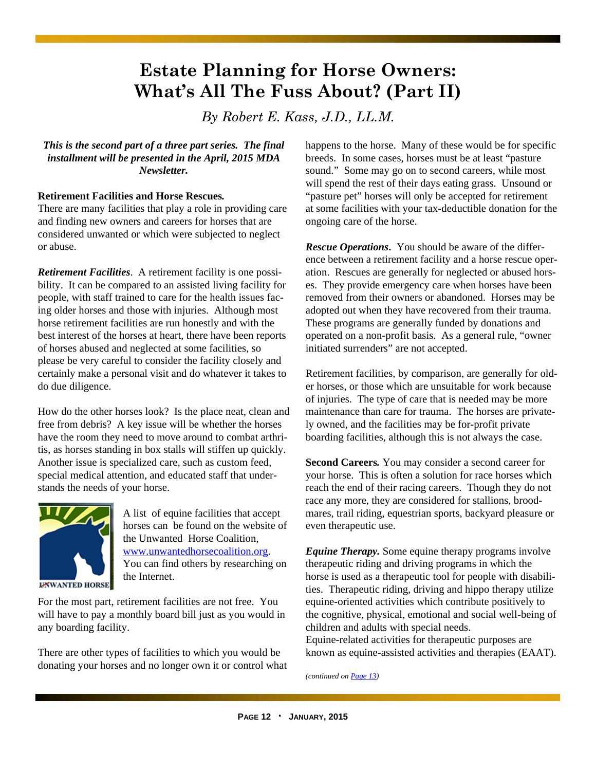### **Estate Planning for Horse Owners: What's All The Fuss About? (Part II)**

*By Robert E. Kass, J.D., LL.M.* 

*This is the second part of a three part series. The final installment will be presented in the April, 2015 MDA Newsletter.* 

#### **Retirement Facilities and Horse Rescues***.*

There are many facilities that play a role in providing care and finding new owners and careers for horses that are considered unwanted or which were subjected to neglect or abuse.

*Retirement Facilities*. A retirement facility is one possibility. It can be compared to an assisted living facility for people, with staff trained to care for the health issues facing older horses and those with injuries. Although most horse retirement facilities are run honestly and with the best interest of the horses at heart, there have been reports of horses abused and neglected at some facilities, so please be very careful to consider the facility closely and certainly make a personal visit and do whatever it takes to do due diligence.

How do the other horses look? Is the place neat, clean and free from debris? A key issue will be whether the horses have the room they need to move around to combat arthritis, as horses standing in box stalls will stiffen up quickly. Another issue is specialized care, such as custom feed, special medical attention, and educated staff that understands the needs of your horse.



A list of equine facilities that accept horses can be found on the website of the Unwanted Horse Coalition, www.unwantedhorsecoalition.org. You can find others by researching on the Internet.

For the most part, retirement facilities are not free. You will have to pay a monthly board bill just as you would in any boarding facility.

There are other types of facilities to which you would be donating your horses and no longer own it or control what happens to the horse. Many of these would be for specific breeds. In some cases, horses must be at least "pasture sound." Some may go on to second careers, while most will spend the rest of their days eating grass. Unsound or "pasture pet" horses will only be accepted for retirement at some facilities with your tax-deductible donation for the ongoing care of the horse.

*Rescue Operations***.** You should be aware of the difference between a retirement facility and a horse rescue operation. Rescues are generally for neglected or abused horses. They provide emergency care when horses have been removed from their owners or abandoned. Horses may be adopted out when they have recovered from their trauma. These programs are generally funded by donations and operated on a non-profit basis. As a general rule, "owner initiated surrenders" are not accepted.

Retirement facilities, by comparison, are generally for older horses, or those which are unsuitable for work because of injuries. The type of care that is needed may be more maintenance than care for trauma. The horses are privately owned, and the facilities may be for-profit private boarding facilities, although this is not always the case.

**Second Careers***.* You may consider a second career for your horse. This is often a solution for race horses which reach the end of their racing careers. Though they do not race any more, they are considered for stallions, broodmares, trail riding, equestrian sports, backyard pleasure or even therapeutic use.

*Equine Therapy.* Some equine therapy programs involve therapeutic riding and driving programs in which the horse is used as a therapeutic tool for people with disabilities. Therapeutic riding, driving and hippo therapy utilize equine-oriented activities which contribute positively to the cognitive, physical, emotional and social well-being of children and adults with special needs. Equine-related activities for therapeutic purposes are known as equine-assisted activities and therapies (EAAT).

*(continued on Page 13)*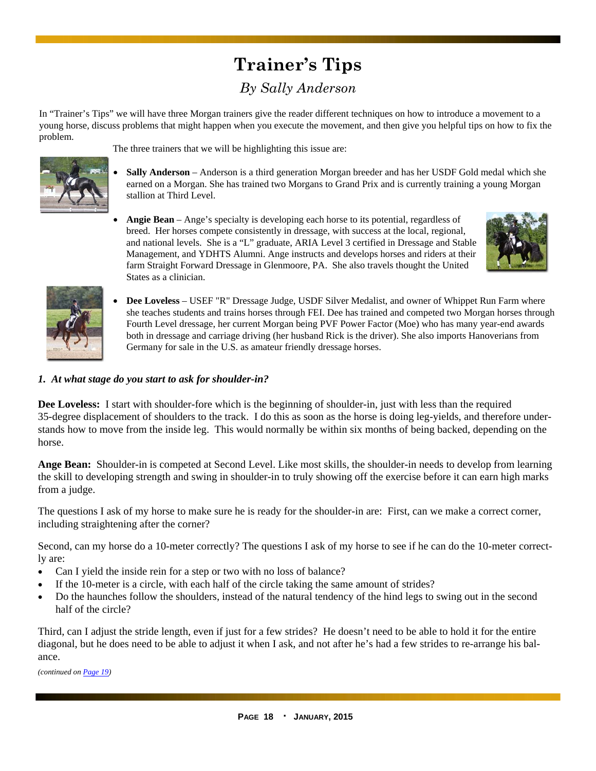### **Trainer's Tips**  *By Sally Anderson*

In "Trainer's Tips" we will have three Morgan trainers give the reader different techniques on how to introduce a movement to a young horse, discuss problems that might happen when you execute the movement, and then give you helpful tips on how to fix the problem.

The three trainers that we will be highlighting this issue are:

- **Sally Anderson**  Anderson is a third generation Morgan breeder and has her USDF Gold medal which she earned on a Morgan. She has trained two Morgans to Grand Prix and is currently training a young Morgan stallion at Third Level.
- **Angie Bean**  Ange's specialty is developing each horse to its potential, regardless of breed. Her horses compete consistently in dressage, with success at the local, regional, and national levels. She is a "L" graduate, ARIA Level 3 certified in Dressage and Stable Management, and YDHTS Alumni. Ange instructs and develops horses and riders at their farm Straight Forward Dressage in Glenmoore, PA. She also travels thought the United States as a clinician.





 **Dee Loveless** – USEF "R" Dressage Judge, USDF Silver Medalist, and owner of Whippet Run Farm where she teaches students and trains horses through FEI. Dee has trained and competed two Morgan horses through Fourth Level dressage, her current Morgan being PVF Power Factor (Moe) who has many year-end awards both in dressage and carriage driving (her husband Rick is the driver). She also imports Hanoverians from Germany for sale in the U.S. as amateur friendly dressage horses.

#### *1. At what stage do you start to ask for shoulder-in?*

**Dee Loveless:** I start with shoulder-fore which is the beginning of shoulder-in, just with less than the required 35-degree displacement of shoulders to the track. I do this as soon as the horse is doing leg-yields, and therefore understands how to move from the inside leg. This would normally be within six months of being backed, depending on the horse.

**Ange Bean:** Shoulder-in is competed at Second Level. Like most skills, the shoulder-in needs to develop from learning the skill to developing strength and swing in shoulder-in to truly showing off the exercise before it can earn high marks from a judge.

The questions I ask of my horse to make sure he is ready for the shoulder-in are: First, can we make a correct corner, including straightening after the corner?

Second, can my horse do a 10-meter correctly? The questions I ask of my horse to see if he can do the 10-meter correctly are:

- Can I yield the inside rein for a step or two with no loss of balance?
- If the 10-meter is a circle, with each half of the circle taking the same amount of strides?
- Do the haunches follow the shoulders, instead of the natural tendency of the hind legs to swing out in the second half of the circle?

Third, can I adjust the stride length, even if just for a few strides? He doesn't need to be able to hold it for the entire diagonal, but he does need to be able to adjust it when I ask, and not after he's had a few strides to re-arrange his balance.

*(continued on Page 19)*